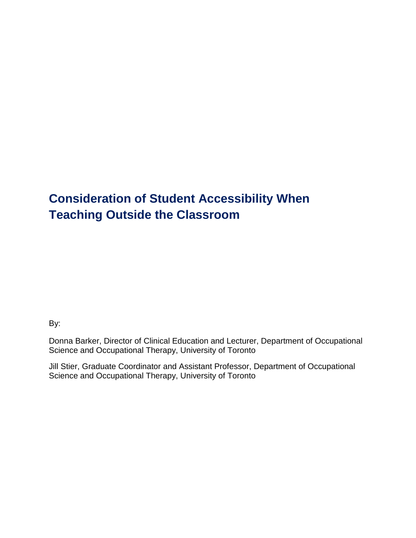# **Consideration of Student Accessibility When Teaching Outside the Classroom**

By:

Donna Barker, Director of Clinical Education and Lecturer, Department of Occupational Science and Occupational Therapy, University of Toronto

Jill Stier, Graduate Coordinator and Assistant Professor, Department of Occupational Science and Occupational Therapy, University of Toronto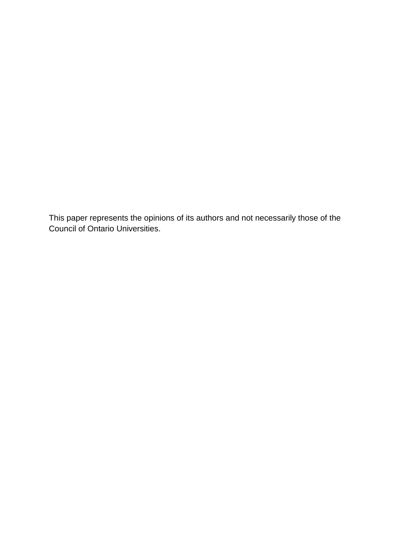This paper represents the opinions of its authors and not necessarily those of the Council of Ontario Universities.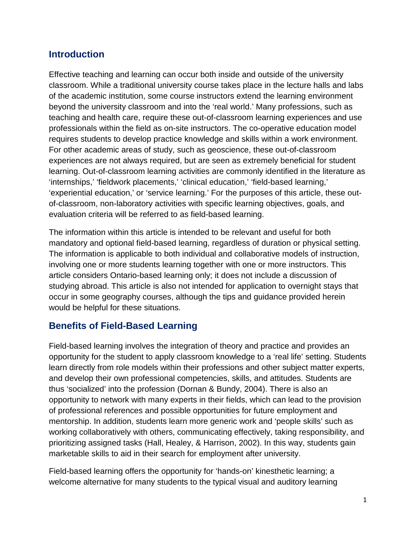### **Introduction**

Effective teaching and learning can occur both inside and outside of the university classroom. While a traditional university course takes place in the lecture halls and labs of the academic institution, some course instructors extend the learning environment beyond the university classroom and into the 'real world.' Many professions, such as teaching and health care, require these out-of-classroom learning experiences and use professionals within the field as on-site instructors. The co-operative education model requires students to develop practice knowledge and skills within a work environment. For other academic areas of study, such as geoscience, these out-of-classroom experiences are not always required, but are seen as extremely beneficial for student learning. Out-of-classroom learning activities are commonly identified in the literature as 'internships,' 'fieldwork placements,' 'clinical education,' 'field-based learning,' 'experiential education,' or 'service learning.' For the purposes of this article, these outof-classroom, non-laboratory activities with specific learning objectives, goals, and evaluation criteria will be referred to as field-based learning.

The information within this article is intended to be relevant and useful for both mandatory and optional field-based learning, regardless of duration or physical setting. The information is applicable to both individual and collaborative models of instruction, involving one or more students learning together with one or more instructors. This article considers Ontario-based learning only; it does not include a discussion of studying abroad. This article is also not intended for application to overnight stays that occur in some geography courses, although the tips and guidance provided herein would be helpful for these situations.

#### **Benefits of Field-Based Learning**

Field-based learning involves the integration of theory and practice and provides an opportunity for the student to apply classroom knowledge to a 'real life' setting. Students learn directly from role models within their professions and other subject matter experts, and develop their own professional competencies, skills, and attitudes. Students are thus 'socialized' into the profession (Dornan & Bundy, 2004). There is also an opportunity to network with many experts in their fields, which can lead to the provision of professional references and possible opportunities for future employment and mentorship. In addition, students learn more generic work and 'people skills' such as working collaboratively with others, communicating effectively, taking responsibility, and prioritizing assigned tasks (Hall, Healey, & Harrison, 2002). In this way, students gain marketable skills to aid in their search for employment after university.

Field-based learning offers the opportunity for 'hands-on' kinesthetic learning; a welcome alternative for many students to the typical visual and auditory learning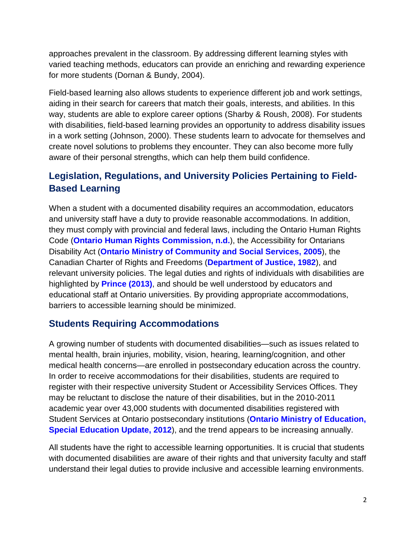approaches prevalent in the classroom. By addressing different learning styles with varied teaching methods, educators can provide an enriching and rewarding experience for more students (Dornan & Bundy, 2004).

Field-based learning also allows students to experience different job and work settings, aiding in their search for careers that match their goals, interests, and abilities. In this way, students are able to explore career options (Sharby & Roush, 2008). For students with disabilities, field-based learning provides an opportunity to address disability issues in a work setting (Johnson, 2000). These students learn to advocate for themselves and create novel solutions to problems they encounter. They can also become more fully aware of their personal strengths, which can help them build confidence.

# **Legislation, Regulations, and University Policies Pertaining to Field-Based Learning**

When a student with a documented disability requires an accommodation, educators and university staff have a duty to provide reasonable accommodations. In addition, they must comply with provincial and federal laws, including the Ontario Human Rights Code (**[Ontario Human Rights Commission, n.d.](http://www.ohrc.on.ca/en/accommodating-students-disabilities-principles-fact-sheet)**), the Accessibility for Ontarians Disability Act (**[Ontario Ministry of Community and Social Services, 2005](http://www.e-laws.gov.on.ca/html/statutes/english/elaws_statutes_05a11_e.htm)**), the Canadian Charter of Rights and Freedoms (**[Department of Justice, 1982](http://laws-lois.justice.gc.ca/eng/Const/index.html)**), and relevant university policies. The legal duties and rights of individuals with disabilities are highlighted by **[Prince \(2013\)](http://www.accessiblecampus.ca/wp-content/uploads/2013/09/here3.pdf)**, and should be well understood by educators and educational staff at Ontario universities. By providing appropriate accommodations, barriers to accessible learning should be minimized.

### **Students Requiring Accommodations**

A growing number of students with documented disabilities—such as issues related to mental health, brain injuries, mobility, vision, hearing, learning/cognition, and other medical health concerns—are enrolled in postsecondary education across the country. In order to receive accommodations for their disabilities, students are required to register with their respective university Student or Accessibility Services Offices. They may be reluctant to disclose the nature of their disabilities, but in the 2010-2011 academic year over 43,000 students with documented disabilities registered with Student Services at Ontario postsecondary institutions (**[Ontario Ministry of Education,](http://www.edu.gov.on.ca/eng/general/elemsec/speced/specialed_update2012.pdf)  [Special Education Update, 2012](http://www.edu.gov.on.ca/eng/general/elemsec/speced/specialed_update2012.pdf)**), and the trend appears to be increasing annually.

All students have the right to accessible learning opportunities. It is crucial that students with documented disabilities are aware of their rights and that university faculty and staff understand their legal duties to provide inclusive and accessible learning environments.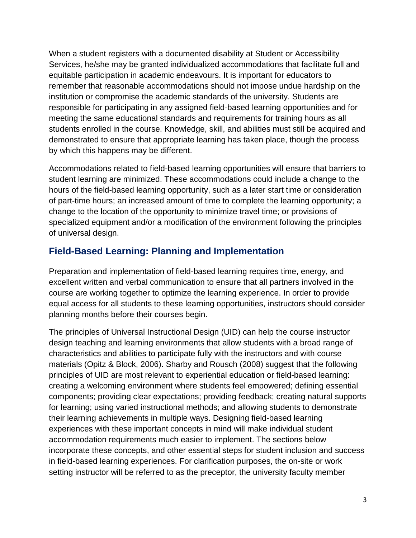When a student registers with a documented disability at Student or Accessibility Services, he/she may be granted individualized accommodations that facilitate full and equitable participation in academic endeavours. It is important for educators to remember that reasonable accommodations should not impose undue hardship on the institution or compromise the academic standards of the university. Students are responsible for participating in any assigned field-based learning opportunities and for meeting the same educational standards and requirements for training hours as all students enrolled in the course. Knowledge, skill, and abilities must still be acquired and demonstrated to ensure that appropriate learning has taken place, though the process by which this happens may be different.

Accommodations related to field-based learning opportunities will ensure that barriers to student learning are minimized. These accommodations could include a change to the hours of the field-based learning opportunity, such as a later start time or consideration of part-time hours; an increased amount of time to complete the learning opportunity; a change to the location of the opportunity to minimize travel time; or provisions of specialized equipment and/or a modification of the environment following the principles of universal design.

# **Field-Based Learning: Planning and Implementation**

Preparation and implementation of field-based learning requires time, energy, and excellent written and verbal communication to ensure that all partners involved in the course are working together to optimize the learning experience. In order to provide equal access for all students to these learning opportunities, instructors should consider planning months before their courses begin.

The principles of Universal Instructional Design (UID) can help the course instructor design teaching and learning environments that allow students with a broad range of characteristics and abilities to participate fully with the instructors and with course materials (Opitz & Block, 2006). Sharby and Rousch (2008) suggest that the following principles of UID are most relevant to experiential education or field-based learning: creating a welcoming environment where students feel empowered; defining essential components; providing clear expectations; providing feedback; creating natural supports for learning; using varied instructional methods; and allowing students to demonstrate their learning achievements in multiple ways. Designing field-based learning experiences with these important concepts in mind will make individual student accommodation requirements much easier to implement. The sections below incorporate these concepts, and other essential steps for student inclusion and success in field-based learning experiences. For clarification purposes, the on-site or work setting instructor will be referred to as the preceptor, the university faculty member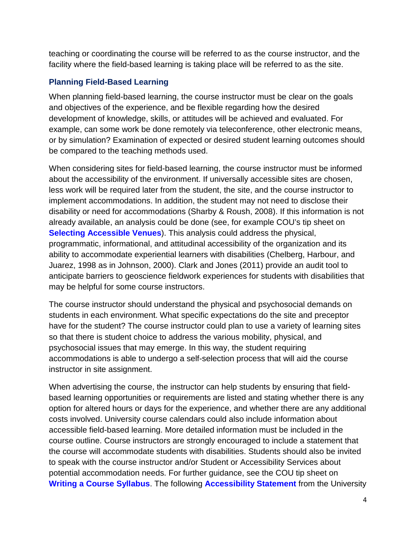teaching or coordinating the course will be referred to as the course instructor, and the facility where the field-based learning is taking place will be referred to as the site.

#### **Planning Field-Based Learning**

When planning field-based learning, the course instructor must be clear on the goals and objectives of the experience, and be flexible regarding how the desired development of knowledge, skills, or attitudes will be achieved and evaluated. For example, can some work be done remotely via teleconference, other electronic means, or by simulation? Examination of expected or desired student learning outcomes should be compared to the teaching methods used.

When considering sites for field-based learning, the course instructor must be informed about the accessibility of the environment. If universally accessible sites are chosen, less work will be required later from the student, the site, and the course instructor to implement accommodations. In addition, the student may not need to disclose their disability or need for accommodations (Sharby & Roush, 2008). If this information is not already available, an analysis could be done (see, for example COU's tip sheet on **[Selecting Accessible Venues](http://www.accessiblecampus.ca/aoda-everyday/reference-library/accessible-event-conference-planning/selecting-accessible-venues/)**). This analysis could address the physical, programmatic, informational, and attitudinal accessibility of the organization and its ability to accommodate experiential learners with disabilities (Chelberg, Harbour, and Juarez, 1998 as in Johnson, 2000). Clark and Jones (2011) provide an audit tool to anticipate barriers to geoscience fieldwork experiences for students with disabilities that may be helpful for some course instructors.

The course instructor should understand the physical and psychosocial demands on students in each environment. What specific expectations do the site and preceptor have for the student? The course instructor could plan to use a variety of learning sites so that there is student choice to address the various mobility, physical, and psychosocial issues that may emerge. In this way, the student requiring accommodations is able to undergo a self-selection process that will aid the course instructor in site assignment.

When advertising the course, the instructor can help students by ensuring that fieldbased learning opportunities or requirements are listed and stating whether there is any option for altered hours or days for the experience, and whether there are any additional costs involved. University course calendars could also include information about accessible field-based learning. More detailed information must be included in the course outline. Course instructors are strongly encouraged to include a statement that the course will accommodate students with disabilities. Students should also be invited to speak with the course instructor and/or Student or Accessibility Services about potential accommodation needs. For further guidance, see the COU tip sheet on **[Writing a Course Syllabus](http://www.accessiblecampus.ca/educators/course-planning/writing-a-course-syllabus/)**. The following **[Accessibility Statement](http://ctl.utsc.utoronto.ca/home/accessibilitystatement)** from the University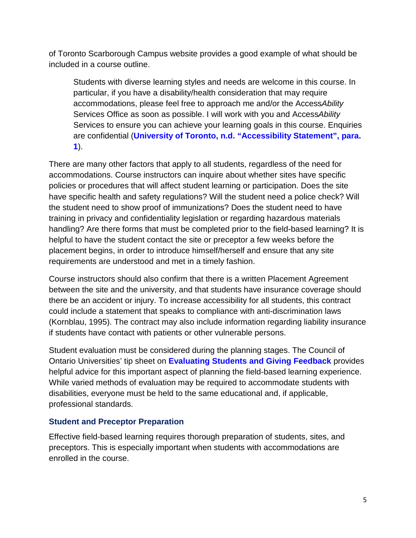of Toronto Scarborough Campus website provides a good example of what should be included in a course outline.

Students with diverse learning styles and needs are welcome in this course. In particular, if you have a disability/health consideration that may require accommodations, please feel free to approach me and/or the Access*Ability* Services Office as soon as possible. I will work with you and Access*Ability*  Services to ensure you can achieve your learning goals in this course. Enquiries are confidential (**University of Toronto, n.d. ["Accessibility Statement", para.](http://ctl.utsc.utoronto.ca/home/accessibilitystatement)  [1](http://ctl.utsc.utoronto.ca/home/accessibilitystatement)**).

There are many other factors that apply to all students, regardless of the need for accommodations. Course instructors can inquire about whether sites have specific policies or procedures that will affect student learning or participation. Does the site have specific health and safety regulations? Will the student need a police check? Will the student need to show proof of immunizations? Does the student need to have training in privacy and confidentiality legislation or regarding hazardous materials handling? Are there forms that must be completed prior to the field-based learning? It is helpful to have the student contact the site or preceptor a few weeks before the placement begins, in order to introduce himself/herself and ensure that any site requirements are understood and met in a timely fashion.

Course instructors should also confirm that there is a written Placement Agreement between the site and the university, and that students have insurance coverage should there be an accident or injury. To increase accessibility for all students, this contract could include a statement that speaks to compliance with anti-discrimination laws (Kornblau, 1995). The contract may also include information regarding liability insurance if students have contact with patients or other vulnerable persons.

Student evaluation must be considered during the planning stages. The Council of Ontario Universities' tip sheet on **[Evaluating Students and Giving Feedback](http://www.accessiblecampus.ca/educators/teaching-tips/evaluating-students/)** provides helpful advice for this important aspect of planning the field-based learning experience. While varied methods of evaluation may be required to accommodate students with disabilities, everyone must be held to the same educational and, if applicable, professional standards.

#### **Student and Preceptor Preparation**

Effective field-based learning requires thorough preparation of students, sites, and preceptors. This is especially important when students with accommodations are enrolled in the course.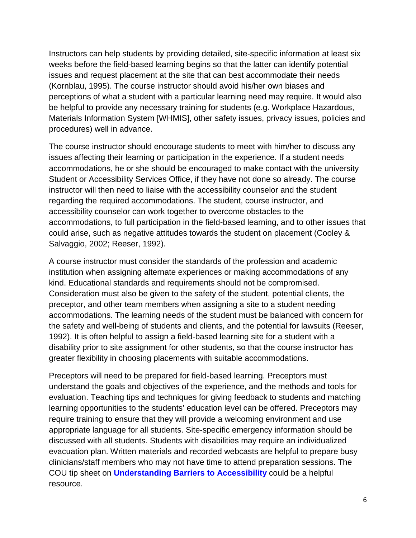Instructors can help students by providing detailed, site-specific information at least six weeks before the field-based learning begins so that the latter can identify potential issues and request placement at the site that can best accommodate their needs (Kornblau, 1995). The course instructor should avoid his/her own biases and perceptions of what a student with a particular learning need may require. It would also be helpful to provide any necessary training for students (e.g. Workplace Hazardous, Materials Information System [WHMIS], other safety issues, privacy issues, policies and procedures) well in advance.

The course instructor should encourage students to meet with him/her to discuss any issues affecting their learning or participation in the experience. If a student needs accommodations, he or she should be encouraged to make contact with the university Student or Accessibility Services Office, if they have not done so already. The course instructor will then need to liaise with the accessibility counselor and the student regarding the required accommodations. The student, course instructor, and accessibility counselor can work together to overcome obstacles to the accommodations, to full participation in the field-based learning, and to other issues that could arise, such as negative attitudes towards the student on placement (Cooley & Salvaggio, 2002; Reeser, 1992).

A course instructor must consider the standards of the profession and academic institution when assigning alternate experiences or making accommodations of any kind. Educational standards and requirements should not be compromised. Consideration must also be given to the safety of the student, potential clients, the preceptor, and other team members when assigning a site to a student needing accommodations. The learning needs of the student must be balanced with concern for the safety and well-being of students and clients, and the potential for lawsuits (Reeser, 1992). It is often helpful to assign a field-based learning site for a student with a disability prior to site assignment for other students, so that the course instructor has greater flexibility in choosing placements with suitable accommodations.

Preceptors will need to be prepared for field-based learning. Preceptors must understand the goals and objectives of the experience, and the methods and tools for evaluation. Teaching tips and techniques for giving feedback to students and matching learning opportunities to the students' education level can be offered. Preceptors may require training to ensure that they will provide a welcoming environment and use appropriate language for all students. Site-specific emergency information should be discussed with all students. Students with disabilities may require an individualized evacuation plan. Written materials and recorded webcasts are helpful to prepare busy clinicians/staff members who may not have time to attend preparation sessions. The COU tip sheet on **[Understanding Barriers to Accessibility](http://www.accessiblecampus.ca/educators/intro-to-accessible-education/understanding-barriers/)** could be a helpful resource.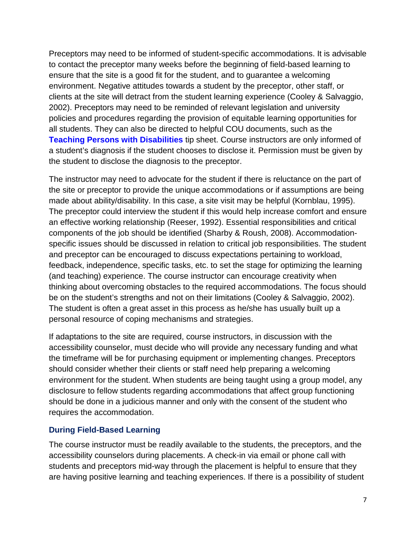Preceptors may need to be informed of student-specific accommodations. It is advisable to contact the preceptor many weeks before the beginning of field-based learning to ensure that the site is a good fit for the student, and to guarantee a welcoming environment. Negative attitudes towards a student by the preceptor, other staff, or clients at the site will detract from the student learning experience (Cooley & Salvaggio, 2002). Preceptors may need to be reminded of relevant legislation and university policies and procedures regarding the provision of equitable learning opportunities for all students. They can also be directed to helpful COU documents, such as the **[Teaching Persons with Disabilities](http://www.cou.on.ca/policy-advocacy/accessibility/educators--accessibility-resource-kit/teaching-persons-with-disabilities)** tip sheet. Course instructors are only informed of a student's diagnosis if the student chooses to disclose it. Permission must be given by the student to disclose the diagnosis to the preceptor.

The instructor may need to advocate for the student if there is reluctance on the part of the site or preceptor to provide the unique accommodations or if assumptions are being made about ability/disability. In this case, a site visit may be helpful (Kornblau, 1995). The preceptor could interview the student if this would help increase comfort and ensure an effective working relationship (Reeser, 1992). Essential responsibilities and critical components of the job should be identified (Sharby & Roush, 2008). Accommodationspecific issues should be discussed in relation to critical job responsibilities. The student and preceptor can be encouraged to discuss expectations pertaining to workload, feedback, independence, specific tasks, etc. to set the stage for optimizing the learning (and teaching) experience. The course instructor can encourage creativity when thinking about overcoming obstacles to the required accommodations. The focus should be on the student's strengths and not on their limitations (Cooley & Salvaggio, 2002). The student is often a great asset in this process as he/she has usually built up a personal resource of coping mechanisms and strategies.

If adaptations to the site are required, course instructors, in discussion with the accessibility counselor, must decide who will provide any necessary funding and what the timeframe will be for purchasing equipment or implementing changes. Preceptors should consider whether their clients or staff need help preparing a welcoming environment for the student. When students are being taught using a group model, any disclosure to fellow students regarding accommodations that affect group functioning should be done in a judicious manner and only with the consent of the student who requires the accommodation.

#### **During Field-Based Learning**

The course instructor must be readily available to the students, the preceptors, and the accessibility counselors during placements. A check-in via email or phone call with students and preceptors mid-way through the placement is helpful to ensure that they are having positive learning and teaching experiences. If there is a possibility of student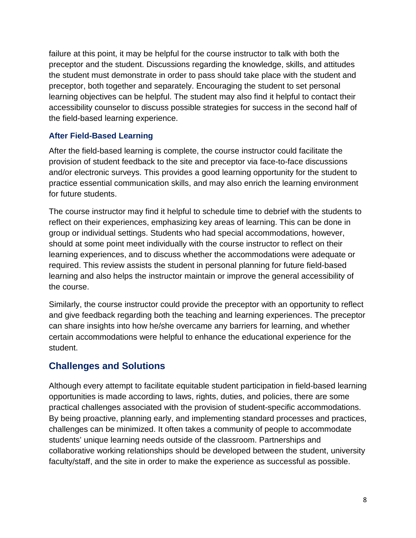failure at this point, it may be helpful for the course instructor to talk with both the preceptor and the student. Discussions regarding the knowledge, skills, and attitudes the student must demonstrate in order to pass should take place with the student and preceptor, both together and separately. Encouraging the student to set personal learning objectives can be helpful. The student may also find it helpful to contact their accessibility counselor to discuss possible strategies for success in the second half of the field-based learning experience.

#### **After Field-Based Learning**

After the field-based learning is complete, the course instructor could facilitate the provision of student feedback to the site and preceptor via face-to-face discussions and/or electronic surveys. This provides a good learning opportunity for the student to practice essential communication skills, and may also enrich the learning environment for future students.

The course instructor may find it helpful to schedule time to debrief with the students to reflect on their experiences, emphasizing key areas of learning. This can be done in group or individual settings. Students who had special accommodations, however, should at some point meet individually with the course instructor to reflect on their learning experiences, and to discuss whether the accommodations were adequate or required. This review assists the student in personal planning for future field-based learning and also helps the instructor maintain or improve the general accessibility of the course.

Similarly, the course instructor could provide the preceptor with an opportunity to reflect and give feedback regarding both the teaching and learning experiences. The preceptor can share insights into how he/she overcame any barriers for learning, and whether certain accommodations were helpful to enhance the educational experience for the student.

# **Challenges and Solutions**

Although every attempt to facilitate equitable student participation in field-based learning opportunities is made according to laws, rights, duties, and policies, there are some practical challenges associated with the provision of student-specific accommodations. By being proactive, planning early, and implementing standard processes and practices, challenges can be minimized. It often takes a community of people to accommodate students' unique learning needs outside of the classroom. Partnerships and collaborative working relationships should be developed between the student, university faculty/staff, and the site in order to make the experience as successful as possible.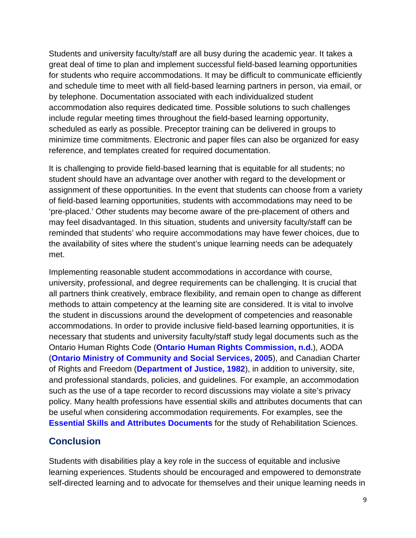Students and university faculty/staff are all busy during the academic year. It takes a great deal of time to plan and implement successful field-based learning opportunities for students who require accommodations. It may be difficult to communicate efficiently and schedule time to meet with all field-based learning partners in person, via email, or by telephone. Documentation associated with each individualized student accommodation also requires dedicated time. Possible solutions to such challenges include regular meeting times throughout the field-based learning opportunity, scheduled as early as possible. Preceptor training can be delivered in groups to minimize time commitments. Electronic and paper files can also be organized for easy reference, and templates created for required documentation.

It is challenging to provide field-based learning that is equitable for all students; no student should have an advantage over another with regard to the development or assignment of these opportunities. In the event that students can choose from a variety of field-based learning opportunities, students with accommodations may need to be 'pre-placed.' Other students may become aware of the pre-placement of others and may feel disadvantaged. In this situation, students and university faculty/staff can be reminded that students' who require accommodations may have fewer choices, due to the availability of sites where the student's unique learning needs can be adequately met.

Implementing reasonable student accommodations in accordance with course, university, professional, and degree requirements can be challenging. It is crucial that all partners think creatively, embrace flexibility, and remain open to change as different methods to attain competency at the learning site are considered. It is vital to involve the student in discussions around the development of competencies and reasonable accommodations. In order to provide inclusive field-based learning opportunities, it is necessary that students and university faculty/staff study legal documents such as the Ontario Human Rights Code (**[Ontario Human Rights Commission, n.d.](http://www.ohrc.on.ca/en/accommodating-students-disabilities-principles-fact-sheet)**), AODA (**[Ontario Ministry of Community and Social Services, 2005](http://www.e-laws.gov.on.ca/html/statutes/english/elaws_statutes_05a11_e.htm)**), and Canadian Charter of Rights and Freedom (**[Department of Justice, 1982](http://laws-lois.justice.gc.ca/eng/Const/index.html)**), in addition to university, site, and professional standards, policies, and guidelines. For example, an accommodation such as the use of a tape recorder to record discussions may violate a site's privacy policy. Many health professions have essential skills and attributes documents that can be useful when considering accommodation requirements. For examples, see the **[Essential Skills and Attributes Documents](http://www.ouac.on.ca/orpas/orpas-essential/)** for the study of Rehabilitation Sciences.

### **Conclusion**

Students with disabilities play a key role in the success of equitable and inclusive learning experiences. Students should be encouraged and empowered to demonstrate self-directed learning and to advocate for themselves and their unique learning needs in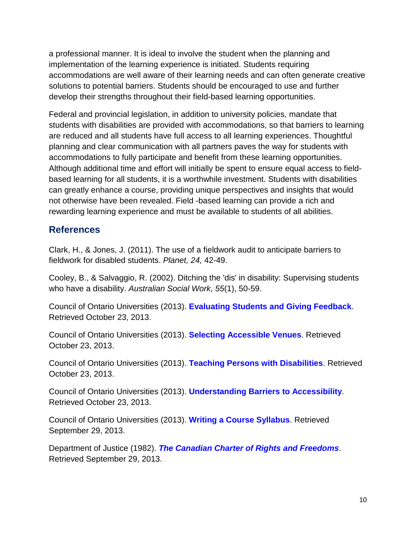a professional manner. It is ideal to involve the student when the planning and implementation of the learning experience is initiated. Students requiring accommodations are well aware of their learning needs and can often generate creative solutions to potential barriers. Students should be encouraged to use and further develop their strengths throughout their field-based learning opportunities.

Federal and provincial legislation, in addition to university policies, mandate that students with disabilities are provided with accommodations, so that barriers to learning are reduced and all students have full access to all learning experiences. Thoughtful planning and clear communication with all partners paves the way for students with accommodations to fully participate and benefit from these learning opportunities. Although additional time and effort will initially be spent to ensure equal access to fieldbased learning for all students, it is a worthwhile investment. Students with disabilities can greatly enhance a course, providing unique perspectives and insights that would not otherwise have been revealed. Field -based learning can provide a rich and rewarding learning experience and must be available to students of all abilities.

## **References**

Clark, H., & Jones, J. (2011). The use of a fieldwork audit to anticipate barriers to fieldwork for disabled students. *Planet, 24,* 42-49.

Cooley, B., & Salvaggio, R. (2002). Ditching the 'dis' in disability: Supervising students who have a disability. *Australian Social Work*, *55*(1), 50-59.

Council of Ontario Universities (2013). **[Evaluating Students and Giving Feedback](http://www.accessiblecampus.ca/educators/teaching-tips/evaluating-students/)**. Retrieved October 23, 2013.

Council of Ontario Universities (2013). **[Selecting Accessible Venues](http://www.accessiblecampus.ca/aoda-everyday/reference-library/accessible-event-conference-planning/selecting-accessible-venues/)**. Retrieved October 23, 2013.

Council of Ontario Universities (2013). **[Teaching Persons with Disabilities](http://www.cou.on.ca/policy-advocacy/accessibility/educators--accessibility-resource-kit/teaching-persons-with-disabilities)**. Retrieved October 23, 2013.

Council of Ontario Universities (2013). **[Understanding Barriers to Accessibility](http://www.accessiblecampus.ca/educators/intro-to-accessible-education/understanding-barriers/)**. Retrieved October 23, 2013.

Council of Ontario Universities (2013). **[Writing a Course Syllabus](http://www.accessiblecampus.ca/educators/course-planning/writing-a-course-syllabus/)**. Retrieved September 29, 2013.

Department of Justice (1982). *The [Canadian Charter of Rights and Freedoms](http://laws-lois.justice.gc.ca/eng/Const/index.html)*. Retrieved September 29, 2013.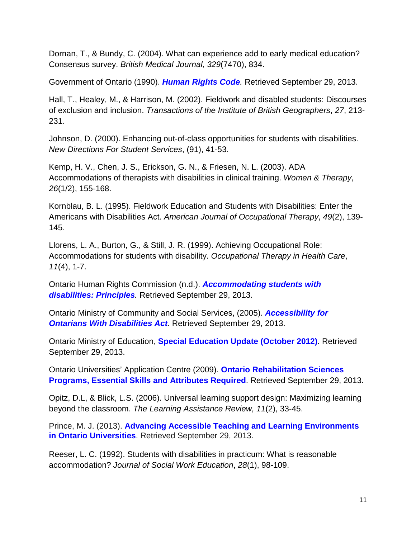Dornan, T., & Bundy, C. (2004). What can experience add to early medical education? Consensus survey. *British Medical Journal, 329*(7470), 834.

Government of Ontario (1990). *[Human Rights Code](http://www.e-laws.gov.on.ca/html/statutes/english/elaws_statutes_90h19_e.htm).* Retrieved September 29, 2013.

Hall, T., Healey, M., & Harrison, M. (2002). Fieldwork and disabled students: Discourses of exclusion and inclusion. *Transactions of the Institute of British Geographers*, *27*, 213- 231.

Johnson, D. (2000). Enhancing out-of-class opportunities for students with disabilities. *New Directions For Student Services*, (91), 41-53.

Kemp, H. V., Chen, J. S., Erickson, G. N., & Friesen, N. L. (2003). ADA Accommodations of therapists with disabilities in clinical training. *Women & Therapy*, *26*(1/2), 155-168.

Kornblau, B. L. (1995). Fieldwork Education and Students with Disabilities: Enter the Americans with Disabilities Act. *American Journal of Occupational Therapy*, *49*(2), 139- 145.

Llorens, L. A., Burton, G., & Still, J. R. (1999). Achieving Occupational Role: Accommodations for students with disability. *Occupational Therapy in Health Care*, *11*(4), 1-7.

Ontario Human Rights Commission (n.d.). *[Accommodating students with](http://www.ohrc.on.ca/en/accommodating-students-disabilities-principles)  [disabilities: Principles](http://www.ohrc.on.ca/en/accommodating-students-disabilities-principles).* Retrieved September 29, 2013.

Ontario Ministry of Community and Social Services, (2005). *[Accessibility for](http://www.e-laws.gov.on.ca/html/statutes/english/elaws_statutes_05a11_e.htm)  [Ontarians With Disabilities Act](http://www.e-laws.gov.on.ca/html/statutes/english/elaws_statutes_05a11_e.htm).* Retrieved September 29, 2013.

Ontario Ministry of Education, **[Special Education Update \(October 2012\)](http://www.edu.gov.on.ca/eng/general/elemsec/speced/specialed_update2012.pdf)**. Retrieved September 29, 2013.

Ontario Universities' Application Centre (2009). **[Ontario Rehabilitation Sciences](http://www.ouac.on.ca/orpas/orpas-essential/)  [Programs, Essential Skills and Attributes Required](http://www.ouac.on.ca/orpas/orpas-essential/)**. Retrieved September 29, 2013.

Opitz, D.L, & Blick, L.S. (2006). Universal learning support design: Maximizing learning beyond the classroom. *The Learning Assistance Review, 11*(2), 33-45.

Prince, M. J. (2013). **[Advancing Accessible Teaching and Learning Environments](http://www.accessiblecampus.ca/wp-content/uploads/2013/09/here3.pdf)  [in Ontario Universities](http://www.accessiblecampus.ca/wp-content/uploads/2013/09/here3.pdf)**. Retrieved September 29, 2013.

Reeser, L. C. (1992). Students with disabilities in practicum: What is reasonable accommodation? *Journal of Social Work Education*, *28*(1), 98-109.